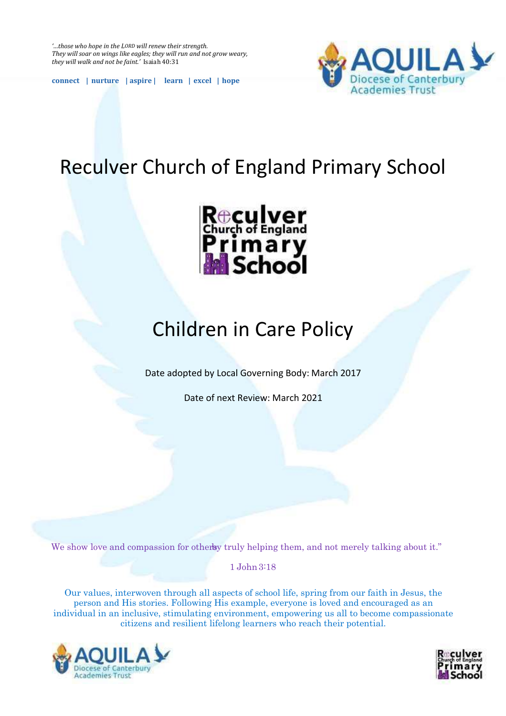*'…those who hope in the LORD will renew their strength. They will soar on wings like eagles; they will run and not grow weary, they will walk and not be faint.'* Isaiah 40:31

**connect | nurture | aspire | learn | excel | hope**



# Reculver Church of England Primary School



# Children in Care Policy

Date adopted by Local Governing Body: March 2017

Date of next Review: March 2021

We show love and compassion for others by truly helping them, and not merely talking about it."

1 John 3:18

Our values, interwoven through all aspects of school life, spring from our faith in Jesus, the person and His stories. Following His example, everyone is loved and encouraged as an individual in an inclusive, stimulating environment, empowering us all to become compassionate citizens and resilient lifelong learners who reach their potential.



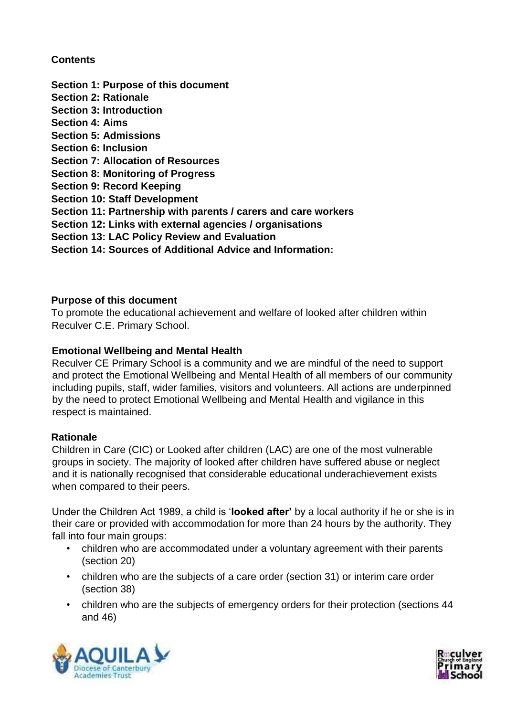## **Contents**

- **Section 1: Purpose of this document**
- **Section 2: Rationale**
- **Section 3: Introduction**
- **Section 4: Aims**
- **Section 5: Admissions**
- **Section 6: Inclusion**
- **Section 7: Allocation of Resources**
- **Section 8: Monitoring of Progress**
- **Section 9: Record Keeping**
- **Section 10: Staff Development**
- **Section 11: Partnership with parents / carers and care workers**
- **Section 12: Links with external agencies / organisations**
- **Section 13: LAC Policy Review and Evaluation**
- **Section 14: Sources of Additional Advice and Information:**

## **Purpose of this document**

To promote the educational achievement and welfare of looked after children within Reculver C.E. Primary School.

# **Emotional Wellbeing and Mental Health**

Reculver CE Primary School is a community and we are mindful of the need to support and protect the Emotional Wellbeing and Mental Health of all members of our community including pupils, staff, wider families, visitors and volunteers. All actions are underpinned by the need to protect Emotional Wellbeing and Mental Health and vigilance in this respect is maintained.

## **Rationale**

Children in Care (CIC) or Looked after children (LAC) are one of the most vulnerable groups in society. The majority of looked after children have suffered abuse or neglect and it is nationally recognised that considerable educational underachievement exists when compared to their peers.

Under the Children Act 1989, a child is '**looked after'** by a local authority if he or she is in their care or provided with accommodation for more than 24 hours by the authority. They fall into four main groups:

- children who are accommodated under a voluntary agreement with their parents (section 20)
- children who are the subjects of a care order (section 31) or interim care order (section 38)
- children who are the subjects of emergency orders for their protection (sections 44 and 46)



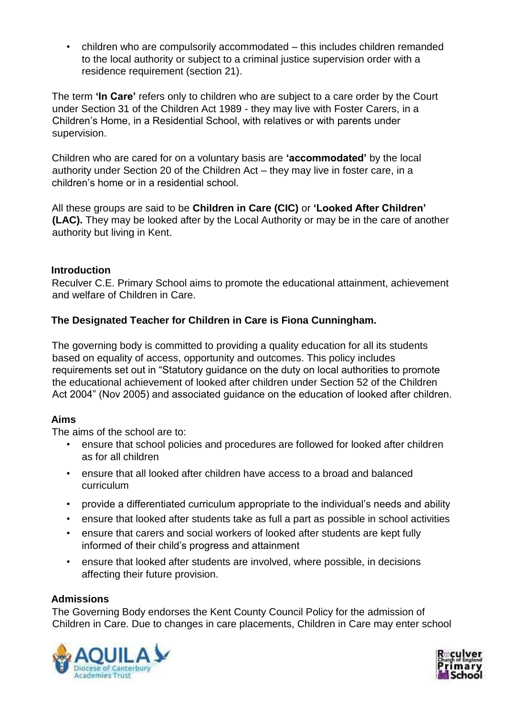• children who are compulsorily accommodated – this includes children remanded to the local authority or subject to a criminal justice supervision order with a residence requirement (section 21).

The term **'In Care'** refers only to children who are subject to a care order by the Court under Section 31 of the Children Act 1989 - they may live with Foster Carers, in a Children's Home, in a Residential School, with relatives or with parents under supervision.

Children who are cared for on a voluntary basis are **'accommodated'** by the local authority under Section 20 of the Children Act – they may live in foster care, in a children's home or in a residential school.

All these groups are said to be **Children in Care (CIC)** or **'Looked After Children' (LAC).** They may be looked after by the Local Authority or may be in the care of another authority but living in Kent.

## **Introduction**

Reculver C.E. Primary School aims to promote the educational attainment, achievement and welfare of Children in Care.

# **The Designated Teacher for Children in Care is Fiona Cunningham.**

The governing body is committed to providing a quality education for all its students based on equality of access, opportunity and outcomes. This policy includes requirements set out in "Statutory guidance on the duty on local authorities to promote the educational achievement of looked after children under Section 52 of the Children Act 2004" (Nov 2005) and associated guidance on the education of looked after children.

## **Aims**

The aims of the school are to:

- ensure that school policies and procedures are followed for looked after children as for all children
- ensure that all looked after children have access to a broad and balanced curriculum
- provide a differentiated curriculum appropriate to the individual's needs and ability
- ensure that looked after students take as full a part as possible in school activities
- ensure that carers and social workers of looked after students are kept fully informed of their child's progress and attainment
- ensure that looked after students are involved, where possible, in decisions affecting their future provision.

## **Admissions**

The Governing Body endorses the Kent County Council Policy for the admission of Children in Care. Due to changes in care placements, Children in Care may enter school



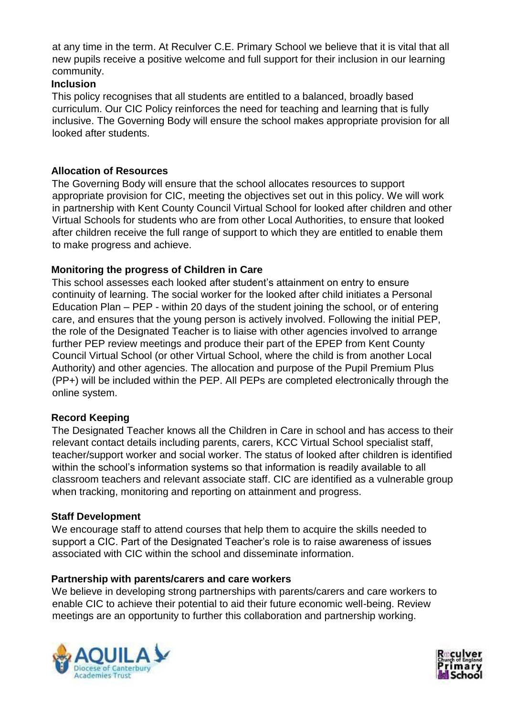at any time in the term. At Reculver C.E. Primary School we believe that it is vital that all new pupils receive a positive welcome and full support for their inclusion in our learning community.

## **Inclusion**

This policy recognises that all students are entitled to a balanced, broadly based curriculum. Our CIC Policy reinforces the need for teaching and learning that is fully inclusive. The Governing Body will ensure the school makes appropriate provision for all looked after students.

# **Allocation of Resources**

The Governing Body will ensure that the school allocates resources to support appropriate provision for CIC, meeting the objectives set out in this policy. We will work in partnership with Kent County Council Virtual School for looked after children and other Virtual Schools for students who are from other Local Authorities, to ensure that looked after children receive the full range of support to which they are entitled to enable them to make progress and achieve.

# **Monitoring the progress of Children in Care**

This school assesses each looked after student's attainment on entry to ensure continuity of learning. The social worker for the looked after child initiates a Personal Education Plan – PEP - within 20 days of the student joining the school, or of entering care, and ensures that the young person is actively involved. Following the initial PEP, the role of the Designated Teacher is to liaise with other agencies involved to arrange further PEP review meetings and produce their part of the EPEP from Kent County Council Virtual School (or other Virtual School, where the child is from another Local Authority) and other agencies. The allocation and purpose of the Pupil Premium Plus (PP+) will be included within the PEP. All PEPs are completed electronically through the online system.

## **Record Keeping**

The Designated Teacher knows all the Children in Care in school and has access to their relevant contact details including parents, carers, KCC Virtual School specialist staff, teacher/support worker and social worker. The status of looked after children is identified within the school's information systems so that information is readily available to all classroom teachers and relevant associate staff. CIC are identified as a vulnerable group when tracking, monitoring and reporting on attainment and progress.

## **Staff Development**

We encourage staff to attend courses that help them to acquire the skills needed to support a CIC. Part of the Designated Teacher's role is to raise awareness of issues associated with CIC within the school and disseminate information.

## **Partnership with parents/carers and care workers**

We believe in developing strong partnerships with parents/carers and care workers to enable CIC to achieve their potential to aid their future economic well-being. Review meetings are an opportunity to further this collaboration and partnership working.